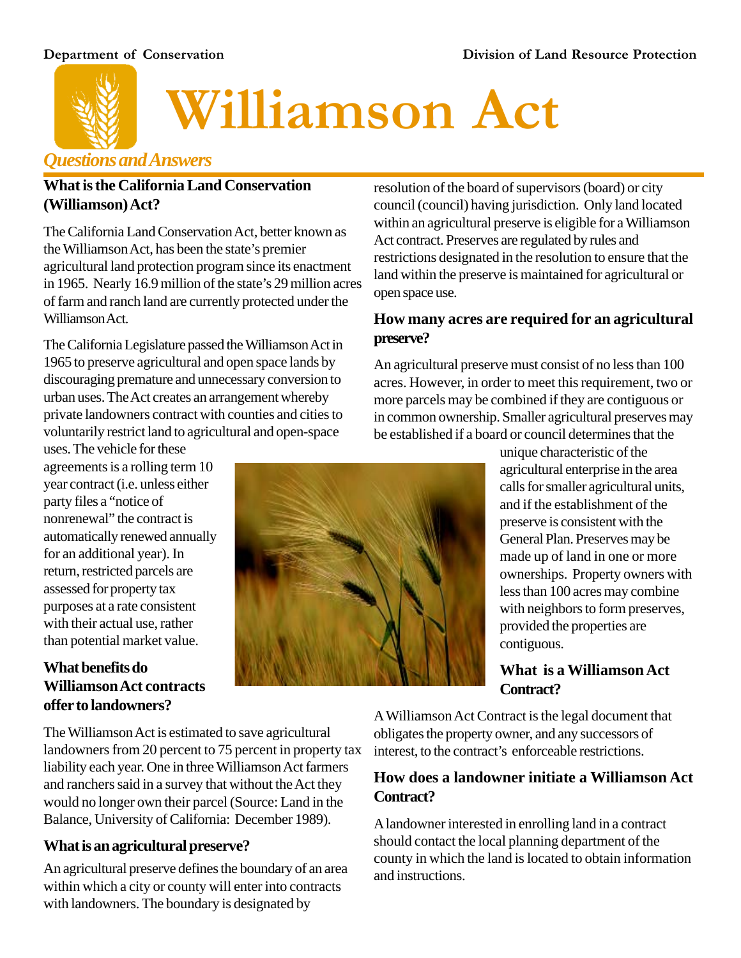

# **Williamson Act**

## *Questions and Answers*

#### **What is the California Land Conservation (Williamson) Act?**

The California Land Conservation Act, better known as the Williamson Act, has been the state's premier agricultural land protection program since its enactment in 1965. Nearly 16.9 million of the state's 29 million acres of farm and ranch land are currently protected under the Williamson Act.

The California Legislature passed the Williamson Act in 1965 to preserve agricultural and open space lands by discouraging premature and unnecessary conversion to urban uses. The Act creates an arrangement whereby private landowners contract with counties and cities to voluntarily restrict land to agricultural and open-space

uses. The vehicle for these agreements is a rolling term 10 year contract (i.e. unless either party files a "notice of nonrenewal" the contract is automatically renewed annually for an additional year). In return, restricted parcels are assessed for property tax purposes at a rate consistent with their actual use, rather than potential market value.

## **What benefits do Williamson Act contracts offer to landowners?**

resolution of the board of supervisors (board) or city council (council) having jurisdiction. Only land located within an agricultural preserve is eligible for a Williamson Act contract. Preserves are regulated by rules and restrictions designated in the resolution to ensure that the land within the preserve is maintained for agricultural or open space use.

## **How many acres are required for an agricultural preserve?**

An agricultural preserve must consist of no less than 100 acres. However, in order to meet this requirement, two or more parcels may be combined if they are contiguous or in common ownership. Smaller agricultural preserves may be established if a board or council determines that the

> unique characteristic of the agricultural enterprise in the area calls for smaller agricultural units, and if the establishment of the preserve is consistent with the General Plan. Preserves may be made up of land in one or more ownerships. Property owners with less than 100 acres may combine with neighbors to form preserves, provided the properties are contiguous.

### **What is a Williamson Act Contract?**

The Williamson Act is estimated to save agricultural landowners from 20 percent to 75 percent in property tax liability each year. One in three Williamson Act farmers and ranchers said in a survey that without the Act they would no longer own their parcel (Source: Land in the Balance, University of California: December 1989).

## **What is an agricultural preserve?**

An agricultural preserve defines the boundary of an area within which a city or county will enter into contracts with landowners. The boundary is designated by

A Williamson Act Contract is the legal document that obligates the property owner, and any successors of interest, to the contract's enforceable restrictions.

### **How does a landowner initiate a Williamson Act Contract?**

A landowner interested in enrolling land in a contract should contact the local planning department of the county in which the land is located to obtain information and instructions.